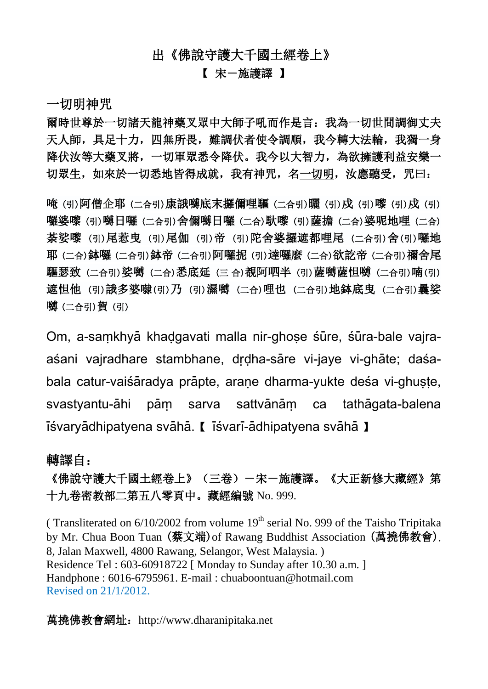### 出《佛說守護大千國土經卷上》

#### 【 宋-施護譯 】

一切明神咒

爾時世尊於一切諸天龍神藥叉眾中大師子吼而作是言:我為一切世間調御丈夫 天人師,具足十力,四無所畏,難調伏者使令調順,我今轉大法輪,我獨一身 降伏汝等大藥叉將,一切軍眾悉令降伏。我今以大智力,為欲擁護利益安樂一 切眾生,如來於一切悉地皆得成就,我有神咒,名一切明,汝應聽受,咒曰:

唵 (引)阿僧企耶 (二合引)康誐嚩底末攞儞哩驅 (二合引)曬 (引)戍 (引)嚟 (引)戍 (引) 囉婆嚟 (引)嚩日囉 (二合引)舍儞嚩日囉 (二合)馱嚟 (引)薩擔 (二合)婆呢地哩 (二合) 荼娑嚟 (引)尾惹曳 (引)尾伽 (引)帝 (引)陀舍婆攞遮都哩尾 (二合引)舍(引)囉地 耶 (二合)鉢囉 (二合引)鉢帝 (二合引)阿囉抳 (引)達囉麼 (二合)欲訖帝 (二合引)禰舍尾 驅瑟致 (二合引)娑嚩 (二合)悉底延 (三 合)覩阿呬半 (引)薩嚩薩怛嚩 (二合引)喃(引) 遮怛他 (引) 誐多婆嚇(引)乃 (引)濕嚩 (二合)哩也 (二合引)地鉢底曳 (二合引)曩娑 嚩 (二合引)賀 (引)

Om, a-samkhyā khadgavati malla nir-ghose sūre, sūra-bale vajraaśani vajradhare stambhane, drdha-sāre vi-jaye vi-ghāte; daśabala catur-vaisaradya prapte, arane dharma-yukte desa vi-ghuste, svastyantu-āhi pām sarva sattvānām ca tathāgata-balena  $\overline{\text{1}}$ śvaryādhipatyena svāhā. 【  $\overline{\text{1}}$ śvarī-ādhipatyena svāhā 】

#### 轉譯自:

# 《佛說守護大千國土經卷上》(三卷)-宋-施護譯。《大正新修大藏經》第 十九卷密教部二第五八零頁中。藏經編號 No. 999.

( Transliterated on  $6/10/2002$  from volume  $19<sup>th</sup>$  serial No. 999 of the Taisho Tripitaka by Mr. Chua Boon Tuan (蔡文端)of Rawang Buddhist Association (萬撓佛教會). 8, Jalan Maxwell, 4800 Rawang, Selangor, West Malaysia. ) Residence Tel : 603-60918722 [ Monday to Sunday after 10.30 a.m. ] Handphone : 6016-6795961. E-mail : chuaboontuan@hotmail.com Revised on 21/1/2012.

萬撓佛教會網址: [http://www.dharanipitaka.net](http://www.dharanipitaka.net/)